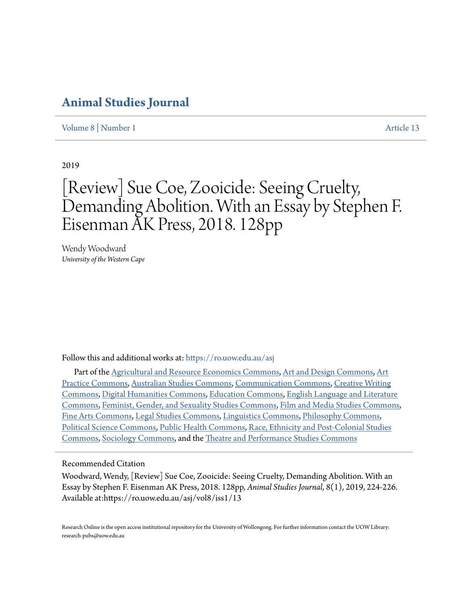### **[Animal Studies Journal](https://ro.uow.edu.au/asj?utm_source=ro.uow.edu.au%2Fasj%2Fvol8%2Fiss1%2F13&utm_medium=PDF&utm_campaign=PDFCoverPages)**

[Volume 8](https://ro.uow.edu.au/asj/vol8?utm_source=ro.uow.edu.au%2Fasj%2Fvol8%2Fiss1%2F13&utm_medium=PDF&utm_campaign=PDFCoverPages) | [Number 1](https://ro.uow.edu.au/asj/vol8/iss1?utm_source=ro.uow.edu.au%2Fasj%2Fvol8%2Fiss1%2F13&utm_medium=PDF&utm_campaign=PDFCoverPages) [Article 13](https://ro.uow.edu.au/asj/vol8/iss1/13?utm_source=ro.uow.edu.au%2Fasj%2Fvol8%2Fiss1%2F13&utm_medium=PDF&utm_campaign=PDFCoverPages)

2019

# [Review] Sue Coe, Zooicide: Seeing Cruelty, Demanding Abolition. With an Essay by Stephen F. Eisenman AK Press, 2018. 128pp

Wendy Woodward *University of the Western Cape*

Follow this and additional works at: [https://ro.uow.edu.au/asj](https://ro.uow.edu.au/asj?utm_source=ro.uow.edu.au%2Fasj%2Fvol8%2Fiss1%2F13&utm_medium=PDF&utm_campaign=PDFCoverPages)

Part of the [Agricultural and Resource Economics Commons](http://network.bepress.com/hgg/discipline/317?utm_source=ro.uow.edu.au%2Fasj%2Fvol8%2Fiss1%2F13&utm_medium=PDF&utm_campaign=PDFCoverPages), [Art and Design Commons](http://network.bepress.com/hgg/discipline/1049?utm_source=ro.uow.edu.au%2Fasj%2Fvol8%2Fiss1%2F13&utm_medium=PDF&utm_campaign=PDFCoverPages), [Art](http://network.bepress.com/hgg/discipline/509?utm_source=ro.uow.edu.au%2Fasj%2Fvol8%2Fiss1%2F13&utm_medium=PDF&utm_campaign=PDFCoverPages) [Practice Commons](http://network.bepress.com/hgg/discipline/509?utm_source=ro.uow.edu.au%2Fasj%2Fvol8%2Fiss1%2F13&utm_medium=PDF&utm_campaign=PDFCoverPages), [Australian Studies Commons](http://network.bepress.com/hgg/discipline/1020?utm_source=ro.uow.edu.au%2Fasj%2Fvol8%2Fiss1%2F13&utm_medium=PDF&utm_campaign=PDFCoverPages), [Communication Commons](http://network.bepress.com/hgg/discipline/325?utm_source=ro.uow.edu.au%2Fasj%2Fvol8%2Fiss1%2F13&utm_medium=PDF&utm_campaign=PDFCoverPages), [Creative Writing](http://network.bepress.com/hgg/discipline/574?utm_source=ro.uow.edu.au%2Fasj%2Fvol8%2Fiss1%2F13&utm_medium=PDF&utm_campaign=PDFCoverPages) [Commons,](http://network.bepress.com/hgg/discipline/574?utm_source=ro.uow.edu.au%2Fasj%2Fvol8%2Fiss1%2F13&utm_medium=PDF&utm_campaign=PDFCoverPages) [Digital Humanities Commons](http://network.bepress.com/hgg/discipline/1286?utm_source=ro.uow.edu.au%2Fasj%2Fvol8%2Fiss1%2F13&utm_medium=PDF&utm_campaign=PDFCoverPages), [Education Commons](http://network.bepress.com/hgg/discipline/784?utm_source=ro.uow.edu.au%2Fasj%2Fvol8%2Fiss1%2F13&utm_medium=PDF&utm_campaign=PDFCoverPages), [English Language and Literature](http://network.bepress.com/hgg/discipline/455?utm_source=ro.uow.edu.au%2Fasj%2Fvol8%2Fiss1%2F13&utm_medium=PDF&utm_campaign=PDFCoverPages) [Commons,](http://network.bepress.com/hgg/discipline/455?utm_source=ro.uow.edu.au%2Fasj%2Fvol8%2Fiss1%2F13&utm_medium=PDF&utm_campaign=PDFCoverPages) [Feminist, Gender, and Sexuality Studies Commons,](http://network.bepress.com/hgg/discipline/559?utm_source=ro.uow.edu.au%2Fasj%2Fvol8%2Fiss1%2F13&utm_medium=PDF&utm_campaign=PDFCoverPages) [Film and Media Studies Commons,](http://network.bepress.com/hgg/discipline/563?utm_source=ro.uow.edu.au%2Fasj%2Fvol8%2Fiss1%2F13&utm_medium=PDF&utm_campaign=PDFCoverPages) [Fine Arts Commons,](http://network.bepress.com/hgg/discipline/1141?utm_source=ro.uow.edu.au%2Fasj%2Fvol8%2Fiss1%2F13&utm_medium=PDF&utm_campaign=PDFCoverPages) [Legal Studies Commons](http://network.bepress.com/hgg/discipline/366?utm_source=ro.uow.edu.au%2Fasj%2Fvol8%2Fiss1%2F13&utm_medium=PDF&utm_campaign=PDFCoverPages), [Linguistics Commons](http://network.bepress.com/hgg/discipline/371?utm_source=ro.uow.edu.au%2Fasj%2Fvol8%2Fiss1%2F13&utm_medium=PDF&utm_campaign=PDFCoverPages), [Philosophy Commons,](http://network.bepress.com/hgg/discipline/525?utm_source=ro.uow.edu.au%2Fasj%2Fvol8%2Fiss1%2F13&utm_medium=PDF&utm_campaign=PDFCoverPages) [Political Science Commons](http://network.bepress.com/hgg/discipline/386?utm_source=ro.uow.edu.au%2Fasj%2Fvol8%2Fiss1%2F13&utm_medium=PDF&utm_campaign=PDFCoverPages), [Public Health Commons,](http://network.bepress.com/hgg/discipline/738?utm_source=ro.uow.edu.au%2Fasj%2Fvol8%2Fiss1%2F13&utm_medium=PDF&utm_campaign=PDFCoverPages) [Race, Ethnicity and Post-Colonial Studies](http://network.bepress.com/hgg/discipline/566?utm_source=ro.uow.edu.au%2Fasj%2Fvol8%2Fiss1%2F13&utm_medium=PDF&utm_campaign=PDFCoverPages) [Commons,](http://network.bepress.com/hgg/discipline/566?utm_source=ro.uow.edu.au%2Fasj%2Fvol8%2Fiss1%2F13&utm_medium=PDF&utm_campaign=PDFCoverPages) [Sociology Commons](http://network.bepress.com/hgg/discipline/416?utm_source=ro.uow.edu.au%2Fasj%2Fvol8%2Fiss1%2F13&utm_medium=PDF&utm_campaign=PDFCoverPages), and the [Theatre and Performance Studies Commons](http://network.bepress.com/hgg/discipline/552?utm_source=ro.uow.edu.au%2Fasj%2Fvol8%2Fiss1%2F13&utm_medium=PDF&utm_campaign=PDFCoverPages)

#### Recommended Citation

Woodward, Wendy, [Review] Sue Coe, Zooicide: Seeing Cruelty, Demanding Abolition. With an Essay by Stephen F. Eisenman AK Press, 2018. 128pp, *Animal Studies Journal*, 8(1), 2019, 224-226. Available at:https://ro.uow.edu.au/asj/vol8/iss1/13

Research Online is the open access institutional repository for the University of Wollongong. For further information contact the UOW Library: research-pubs@uow.edu.au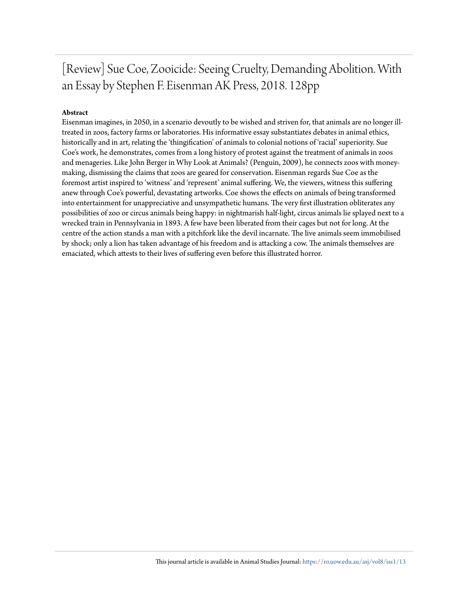[Review] Sue Coe, Zooicide: Seeing Cruelty, Demanding Abolition. With an Essay by Stephen F. Eisenman AK Press, 2018. 128pp

#### **Abstract**

Eisenman imagines, in 2050, in a scenario devoutly to be wished and striven for, that animals are no longer illtreated in zoos, factory farms or laboratories. His informative essay substantiates debates in animal ethics, historically and in art, relating the 'thingification' of animals to colonial notions of 'racial' superiority. Sue Coe's work, he demonstrates, comes from a long history of protest against the treatment of animals in zoos and menageries. Like John Berger in Why Look at Animals? (Penguin, 2009), he connects zoos with moneymaking, dismissing the claims that zoos are geared for conservation. Eisenman regards Sue Coe as the foremost artist inspired to 'witness' and 'represent' animal suffering. We, the viewers, witness this suffering anew through Coe's powerful, devastating artworks. Coe shows the effects on animals of being transformed into entertainment for unappreciative and unsympathetic humans. The very first illustration obliterates any possibilities of zoo or circus animals being happy: in nightmarish half-light, circus animals lie splayed next to a wrecked train in Pennsylvania in 1893. A few have been liberated from their cages but not for long. At the centre of the action stands a man with a pitchfork like the devil incarnate. The live animals seem immobilised by shock; only a lion has taken advantage of his freedom and is attacking a cow. The animals themselves are emaciated, which attests to their lives of suffering even before this illustrated horror.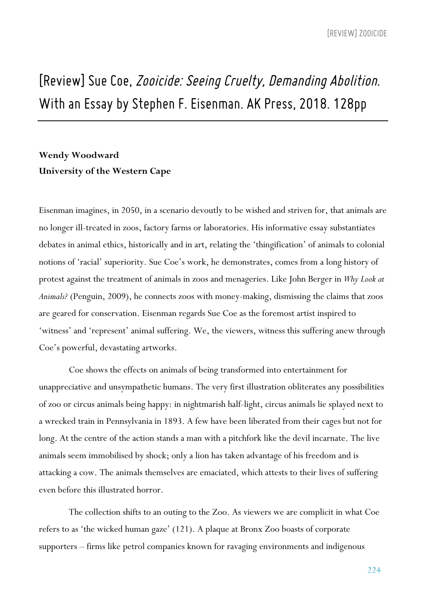## *[Review] Sue Coe,Zooicide:SeeingCruelty, Demanding Abolition. WithanEssay by StephenF. Eisenman. AK Press, 2018. 128pp*

### **Wendy Woodward University of the Western Cape**

Eisenman imagines, in 2050, in a scenario devoutly to be wished and striven for, that animals are no longer ill-treated in zoos, factory farms or laboratories. His informative essay substantiates debates in animal ethics, historically and in art, relating the 'thingification' of animals to colonial notions of 'racial' superiority. Sue Coe's work, he demonstrates, comes from a long history of protest against the treatment of animals in zoos and menageries. Like John Berger in *Why Look at Animals?* (Penguin, 2009), he connects zoos with money-making, dismissing the claims that zoos are geared for conservation. Eisenman regards Sue Coe as the foremost artist inspired to 'witness' and 'represent' animal suffering. We, the viewers, witness this suffering anew through Coe's powerful, devastating artworks.

Coe shows the effects on animals of being transformed into entertainment for unappreciative and unsympathetic humans. The very first illustration obliterates any possibilities of zoo or circus animals being happy: in nightmarish half-light, circus animals lie splayed next to a wrecked train in Pennsylvania in 1893. A few have been liberated from their cages but not for long. At the centre of the action stands a man with a pitchfork like the devil incarnate. The live animals seem immobilised by shock; only a lion has taken advantage of his freedom and is attacking a cow. The animals themselves are emaciated, which attests to their lives of suffering even before this illustrated horror.

The collection shifts to an outing to the Zoo. As viewers we are complicit in what Coe refers to as 'the wicked human gaze' (121). A plaque at Bronx Zoo boasts of corporate supporters – firms like petrol companies known for ravaging environments and indigenous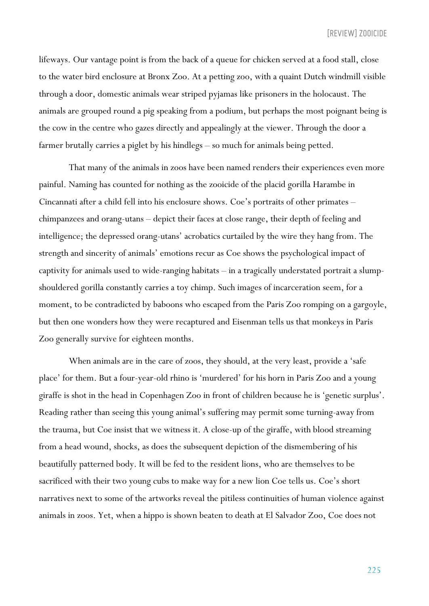lifeways. Our vantage point is from the back of a queue for chicken served at a food stall, close to the water bird enclosure at Bronx Zoo. At a petting zoo, with a quaint Dutch windmill visible through a door, domestic animals wear striped pyjamas like prisoners in the holocaust. The animals are grouped round a pig speaking from a podium, but perhaps the most poignant being is the cow in the centre who gazes directly and appealingly at the viewer. Through the door a farmer brutally carries a piglet by his hindlegs – so much for animals being petted.

That many of the animals in zoos have been named renders their experiences even more painful. Naming has counted for nothing as the zooicide of the placid gorilla Harambe in Cincannati after a child fell into his enclosure shows. Coe's portraits of other primates – chimpanzees and orang-utans – depict their faces at close range, their depth of feeling and intelligence; the depressed orang-utans' acrobatics curtailed by the wire they hang from. The strength and sincerity of animals' emotions recur as Coe shows the psychological impact of captivity for animals used to wide-ranging habitats – in a tragically understated portrait a slumpshouldered gorilla constantly carries a toy chimp. Such images of incarceration seem, for a moment, to be contradicted by baboons who escaped from the Paris Zoo romping on a gargoyle, but then one wonders how they were recaptured and Eisenman tells us that monkeys in Paris Zoo generally survive for eighteen months.

When animals are in the care of zoos, they should, at the very least, provide a 'safe place' for them. But a four-year-old rhino is 'murdered' for his horn in Paris Zoo and a young giraffe is shot in the head in Copenhagen Zoo in front of children because he is 'genetic surplus'. Reading rather than seeing this young animal's suffering may permit some turning-away from the trauma, but Coe insist that we witness it. A close-up of the giraffe, with blood streaming from a head wound, shocks, as does the subsequent depiction of the dismembering of his beautifully patterned body. It will be fed to the resident lions, who are themselves to be sacrificed with their two young cubs to make way for a new lion Coe tells us. Coe's short narratives next to some of the artworks reveal the pitiless continuities of human violence against animals in zoos. Yet, when a hippo is shown beaten to death at El Salvador Zoo, Coe does not

225